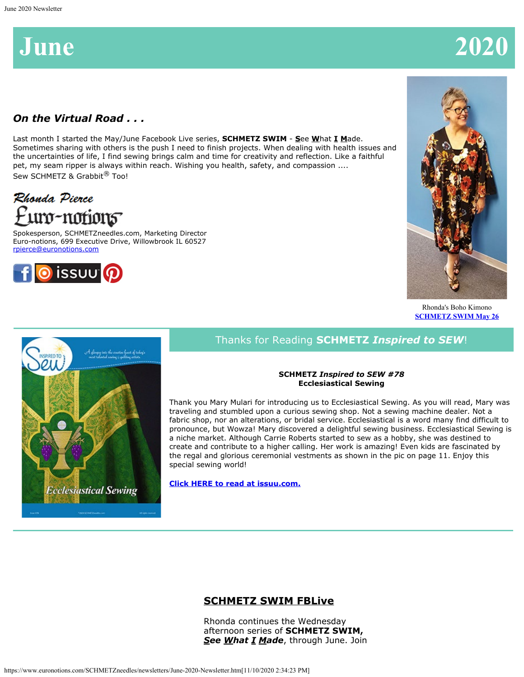# **June 2020**

# *On the Virtual Road . . .*

Last month I started the May/June Facebook Live series, **SCHMETZ SWIM** - **S**ee **W**hat **I M**ade. Sometimes sharing with others is the push I need to finish projects. When dealing with health issues and the uncertainties of life, I find sewing brings calm and time for creativity and reflection. Like a faithful pet, my seam ripper is always within reach. Wishing you health, safety, and compassion .... Sew SCHMETZ & Grabbit<sup>®</sup> Too!

# Rhonda Pierce uro-notions

Spokesperson, SCHMETZneedles.com, Marketing Director Euro-notions, 699 Executive Drive, Willowbrook IL 60527 [rpierce@euronotions.com](mailto:rpierce@euronotions.com)





Rhonda's Boho Kimono **[SCHMETZ SWIM May 26](https://www.facebook.com/schmetzneedles/videos/1061012467632967/)**



# Thanks for Reading **SCHMETZ** *Inspired to SEW*!

#### **SCHMETZ** *Inspired to SEW #78* **Ecclesiastical Sewing**

Thank you Mary Mulari for introducing us to Ecclesiastical Sewing. As you will read, Mary was traveling and stumbled upon a curious sewing shop. Not a sewing machine dealer. Not a fabric shop, nor an alterations, or bridal service. Ecclesiastical is a word many find difficult to pronounce, but Wowza! Mary discovered a delightful sewing business. Ecclesiastical Sewing is a niche market. Although Carrie Roberts started to sew as a hobby, she was destined to create and contribute to a higher calling. Her work is amazing! Even kids are fascinated by the regal and glorious ceremonial vestments as shown in the pic on page 11. Enjoy this special sewing world!

**[Click HERE to read at issuu.com.](https://issuu.com/schmetzneedles/docs/its78-jun20?fr=sZjYxNjE3NTM3)**

# **SCHMETZ SWIM FBLive**

Rhonda continues the Wednesday afternoon series of **SCHMETZ SWIM,** *See What I Made*, through June. Join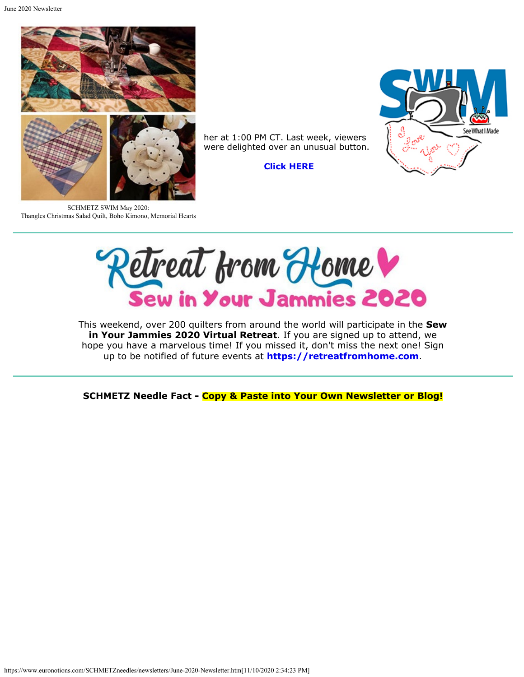June 2020 Newsletter



SCHMETZ SWIM May 2020: Thangles Christmas Salad Quilt, Boho Kimono, Memorial Hearts



Retreat from Home V

her at 1:00 PM CT. Last week, viewers were delighted over an unusual button.

**[Click HERE](https://www.facebook.com/schmetzneedles/videos/1061012467632967/)**

This weekend, over 200 quilters from around the world will participate in the **Sew in Your Jammies 2020 Virtual Retreat**. If you are signed up to attend, we hope you have a marvelous time! If you missed it, don't miss the next one! Sign up to be notified of future events at **[https://retreatfromhome.com](https://retreatfromhome.com/)**.

**SCHMETZ Needle Fact - Copy & Paste into Your Own Newsletter or Blog!**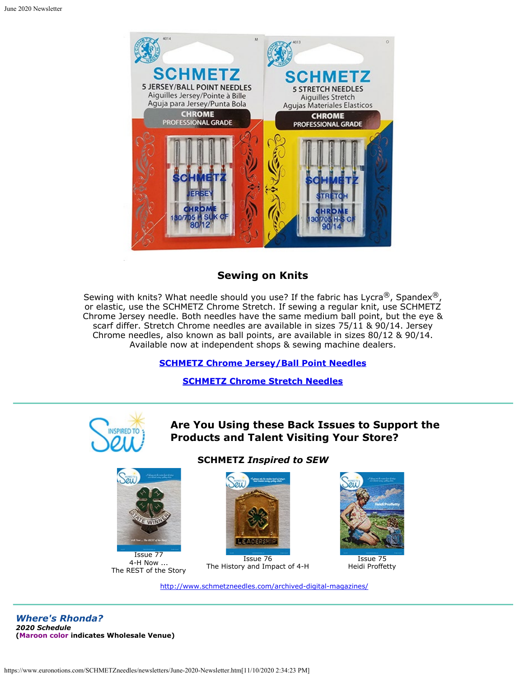

### **Sewing on Knits**

Sewing with knits? What needle should you use? If the fabric has Lycra<sup>®</sup>, Spandex<sup>®</sup>, or elastic, use the SCHMETZ Chrome Stretch. If sewing a regular knit, use SCHMETZ Chrome Jersey needle. Both needles have the same medium ball point, but the eye & scarf differ. Stretch Chrome needles are available in sizes 75/11 & 90/14. Jersey Chrome needles, also known as ball points, are available in sizes 80/12 & 90/14. Available now at independent shops & sewing machine dealers.

#### **[SCHMETZ Chrome Jersey/Ball Point Needles](https://www.schmetzneedles.com/item/CHROME-Jersey-Needles5-Pack-100193)**

#### **[SCHMETZ Chrome Stretch Needles](https://www.schmetzneedles.com/item/CHROME-Stretch-Needles5-Pack-100196)**



# **Are You Using these Back Issues to Support the Products and Talent Visiting Your Store?**



4-H Now ... The REST of the Story

#### **SCHMETZ** *Inspired to SEW*



Issue 76 The History and Impact of 4-H



Issue 75 Heidi Proffetty

<http://www.schmetzneedles.com/archived-digital-magazines/>

*Where's Rhonda? 2020 Schedule* **(Maroon color indicates Wholesale Venue)**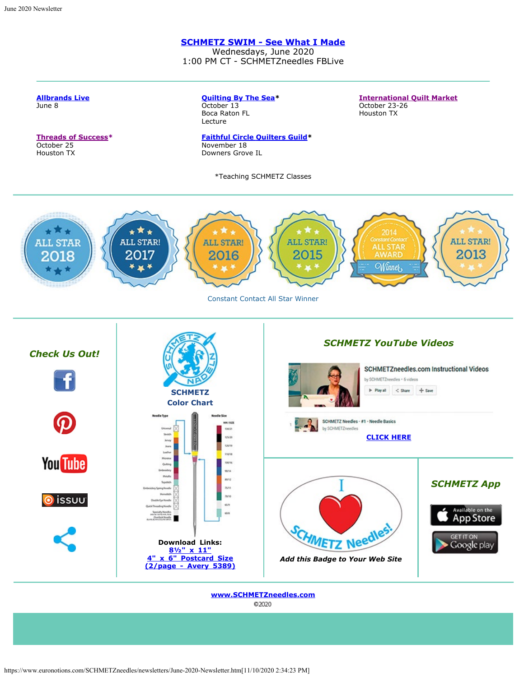**[Allbrands Live](https://www.facebook.com/allbrands1976)** June 8

#### **[SCHMETZ SWIM - See What I](https://www.facebook.com/schmetzneedles/videos/1061012467632967/) [Made](https://www.facebook.com/schmetzneedles/videos/1061012467632967/)**

Wednesdays, June 2020 1:00 PM CT - SCHMETZneedles FBLive

**[International Quilt Market](https://www.quilts.com/quilt-market-houston.html)**

October 23-26

**[Quilting By The Sea](http://www.quiltguildbythesea.com/)\***

October 13



**[www.SCHMETZneedles.com](http://www.schmetzneedles.com/)**C2020